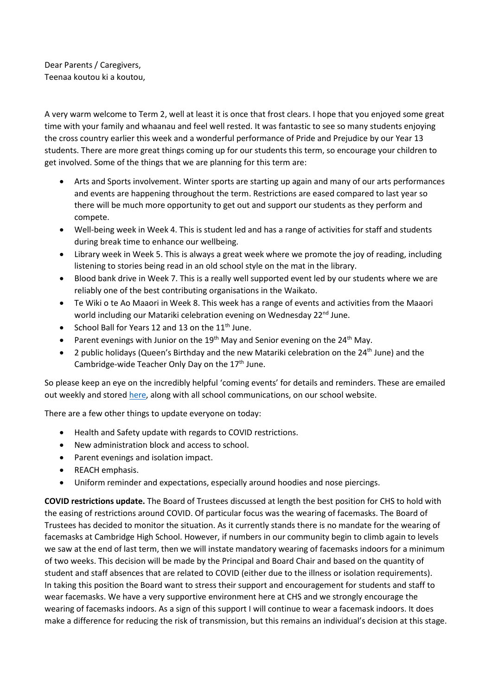Dear Parents / Caregivers, Teenaa koutou ki a koutou,

A very warm welcome to Term 2, well at least it is once that frost clears. I hope that you enjoyed some great time with your family and whaanau and feel well rested. It was fantastic to see so many students enjoying the cross country earlier this week and a wonderful performance of Pride and Prejudice by our Year 13 students. There are more great things coming up for our students this term, so encourage your children to get involved. Some of the things that we are planning for this term are:

- Arts and Sports involvement. Winter sports are starting up again and many of our arts performances and events are happening throughout the term. Restrictions are eased compared to last year so there will be much more opportunity to get out and support our students as they perform and compete.
- Well-being week in Week 4. This is student led and has a range of activities for staff and students during break time to enhance our wellbeing.
- Library week in Week 5. This is always a great week where we promote the joy of reading, including listening to stories being read in an old school style on the mat in the library.
- Blood bank drive in Week 7. This is a really well supported event led by our students where we are reliably one of the best contributing organisations in the Waikato.
- Te Wiki o te Ao Maaori in Week 8. This week has a range of events and activities from the Maaori world including our Matariki celebration evening on Wednesday 22<sup>nd</sup> June.
- School Ball for Years 12 and 13 on the  $11<sup>th</sup>$  June.
- Parent evenings with Junior on the 19<sup>th</sup> May and Senior evening on the 24<sup>th</sup> May.
- 2 public holidays (Queen's Birthday and the new Matariki celebration on the  $24<sup>th</sup>$  June) and the Cambridge-wide Teacher Only Day on the 17<sup>th</sup> June.

So please keep an eye on the incredibly helpful 'coming events' for details and reminders. These are emailed out weekly and stored [here,](https://www.camhigh.school.nz/communications-and-coming-events/) along with all school communications, on our school website.

There are a few other things to update everyone on today:

- Health and Safety update with regards to COVID restrictions.
- New administration block and access to school.
- Parent evenings and isolation impact.
- REACH emphasis.
- Uniform reminder and expectations, especially around hoodies and nose piercings.

**COVID restrictions update.** The Board of Trustees discussed at length the best position for CHS to hold with the easing of restrictions around COVID. Of particular focus was the wearing of facemasks. The Board of Trustees has decided to monitor the situation. As it currently stands there is no mandate for the wearing of facemasks at Cambridge High School. However, if numbers in our community begin to climb again to levels we saw at the end of last term, then we will instate mandatory wearing of facemasks indoors for a minimum of two weeks. This decision will be made by the Principal and Board Chair and based on the quantity of student and staff absences that are related to COVID (either due to the illness or isolation requirements). In taking this position the Board want to stress their support and encouragement for students and staff to wear facemasks. We have a very supportive environment here at CHS and we strongly encourage the wearing of facemasks indoors. As a sign of this support I will continue to wear a facemask indoors. It does make a difference for reducing the risk of transmission, but this remains an individual's decision at this stage.